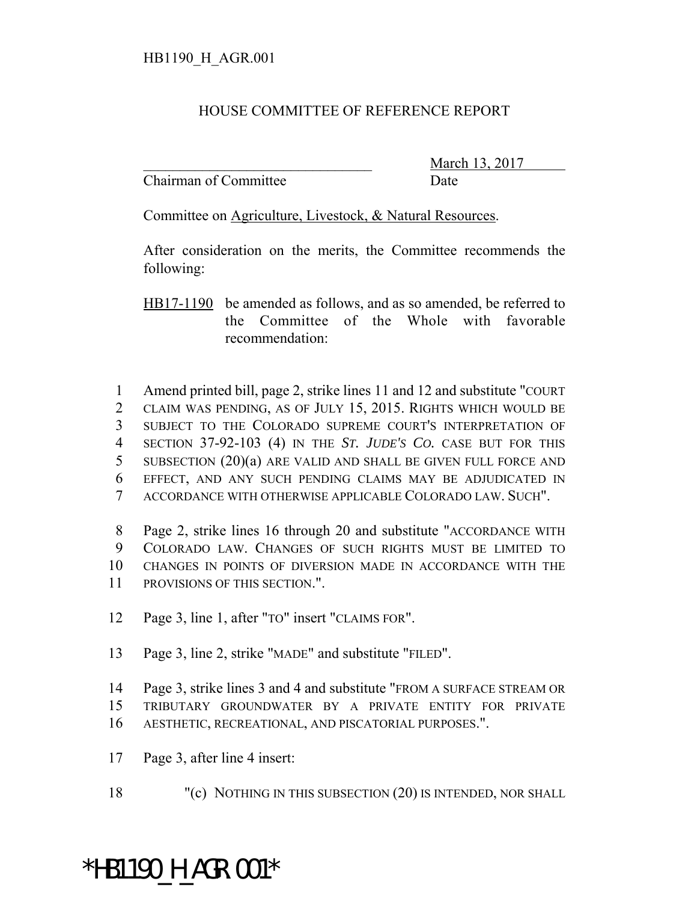## HOUSE COMMITTEE OF REFERENCE REPORT

Chairman of Committee Date

March 13, 2017

Committee on Agriculture, Livestock, & Natural Resources.

After consideration on the merits, the Committee recommends the following:

HB17-1190 be amended as follows, and as so amended, be referred to the Committee of the Whole with favorable recommendation:

 Amend printed bill, page 2, strike lines 11 and 12 and substitute "COURT CLAIM WAS PENDING, AS OF JULY 15, 2015. RIGHTS WHICH WOULD BE SUBJECT TO THE COLORADO SUPREME COURT'S INTERPRETATION OF SECTION 37-92-103 (4) IN THE *ST. JUDE'S CO.* CASE BUT FOR THIS SUBSECTION (20)(a) ARE VALID AND SHALL BE GIVEN FULL FORCE AND EFFECT, AND ANY SUCH PENDING CLAIMS MAY BE ADJUDICATED IN ACCORDANCE WITH OTHERWISE APPLICABLE COLORADO LAW. SUCH".

 Page 2, strike lines 16 through 20 and substitute "ACCORDANCE WITH COLORADO LAW. CHANGES OF SUCH RIGHTS MUST BE LIMITED TO CHANGES IN POINTS OF DIVERSION MADE IN ACCORDANCE WITH THE PROVISIONS OF THIS SECTION.".

- Page 3, line 1, after "TO" insert "CLAIMS FOR".
- Page 3, line 2, strike "MADE" and substitute "FILED".
- Page 3, strike lines 3 and 4 and substitute "FROM A SURFACE STREAM OR TRIBUTARY GROUNDWATER BY A PRIVATE ENTITY FOR PRIVATE
- AESTHETIC, RECREATIONAL, AND PISCATORIAL PURPOSES.".
- Page 3, after line 4 insert:
- "(c) NOTHING IN THIS SUBSECTION (20) IS INTENDED, NOR SHALL

## \*HB1190 H AGR.001\*